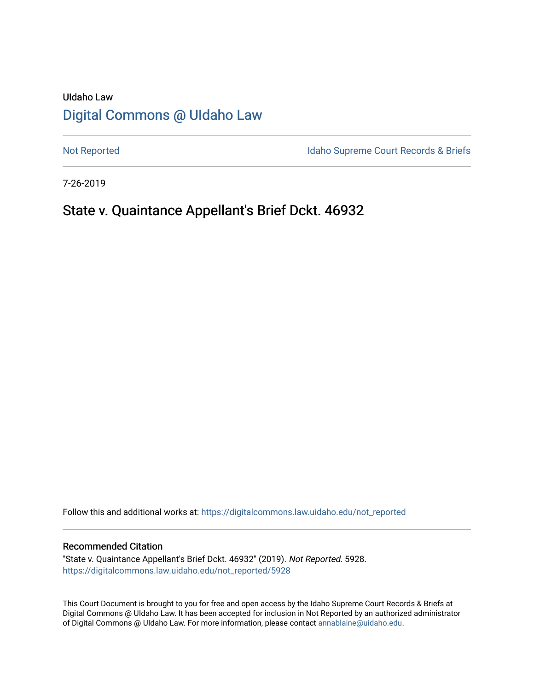# UIdaho Law [Digital Commons @ UIdaho Law](https://digitalcommons.law.uidaho.edu/)

[Not Reported](https://digitalcommons.law.uidaho.edu/not_reported) **Idaho Supreme Court Records & Briefs** 

7-26-2019

## State v. Quaintance Appellant's Brief Dckt. 46932

Follow this and additional works at: [https://digitalcommons.law.uidaho.edu/not\\_reported](https://digitalcommons.law.uidaho.edu/not_reported?utm_source=digitalcommons.law.uidaho.edu%2Fnot_reported%2F5928&utm_medium=PDF&utm_campaign=PDFCoverPages) 

#### Recommended Citation

"State v. Quaintance Appellant's Brief Dckt. 46932" (2019). Not Reported. 5928. [https://digitalcommons.law.uidaho.edu/not\\_reported/5928](https://digitalcommons.law.uidaho.edu/not_reported/5928?utm_source=digitalcommons.law.uidaho.edu%2Fnot_reported%2F5928&utm_medium=PDF&utm_campaign=PDFCoverPages)

This Court Document is brought to you for free and open access by the Idaho Supreme Court Records & Briefs at Digital Commons @ UIdaho Law. It has been accepted for inclusion in Not Reported by an authorized administrator of Digital Commons @ UIdaho Law. For more information, please contact [annablaine@uidaho.edu](mailto:annablaine@uidaho.edu).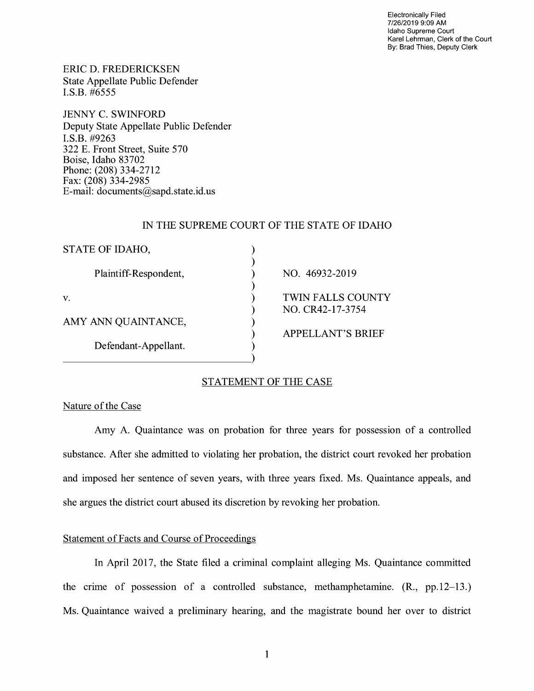Electronically Filed 7/26/2019 9:09 **AM**  Idaho Supreme Court Karel Lehrman, Clerk of the Court By: Brad Thies, Deputy Clerk

ERIC D. FREDERICKSEN State Appellate Public Defender I.S.B. #6555

JENNY C. SWINFORD Deputy State Appellate Public Defender **I.S.B.** #9263 322 E. Front Street, Suite 570 Boise, Idaho 83702 Phone: (208) 334-2712 Fax: (208) 334-2985 E-mail: documents@sapd.state.id. us

#### IN THE SUPREME COURT OF THE STATE OF IDAHO

| STATE OF IDAHO,                             |                                              |
|---------------------------------------------|----------------------------------------------|
| Plaintiff-Respondent,                       | NO. 46932-2019                               |
| V.                                          | <b>TWIN FALLS COUNTY</b><br>NO. CR42-17-3754 |
| AMY ANN QUAINTANCE,<br>Defendant-Appellant. |                                              |
|                                             | <b>APPELLANT'S BRIEF</b>                     |
|                                             |                                              |
|                                             |                                              |

## STATEMENT OF THE CASE

#### Nature of the Case

Amy A. Quaintance was on probation for three years for possession of a controlled substance. After she admitted to violating her probation, the district court revoked her probation and imposed her sentence of seven years, with three years fixed. Ms. Quaintance appeals, and she argues the district court abused its discretion by revoking her probation.

## Statement of Facts and Course of Proceedings

In April 2017, the State filed a criminal complaint alleging Ms. Quaintance committed the crime of possession of a controlled substance, methamphetamine. (R., pp.12-13.) Ms. Quaintance waived a preliminary hearing, and the magistrate bound her over to district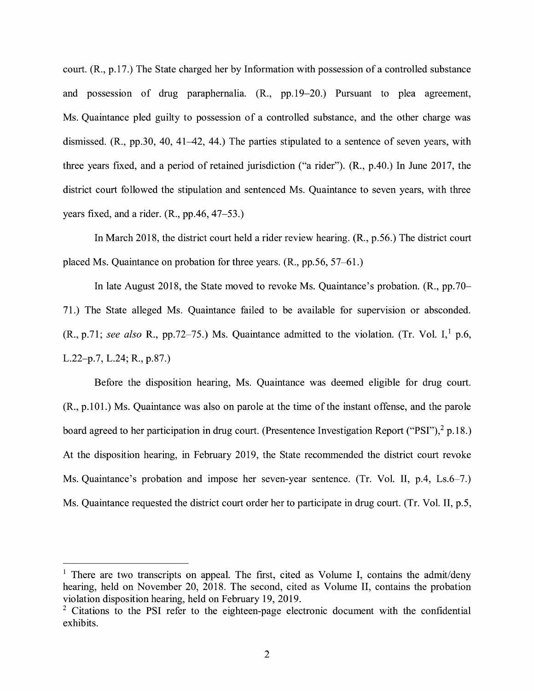court. (R., p.17.) The State charged her by Information with possession of a controlled substance and possession of drug paraphernalia. (R., pp.19-20.) Pursuant to plea agreement, Ms. Quaintance pled guilty to possession of a controlled substance, and the other charge was dismissed. (R., pp.30, 40, 41–42, 44.) The parties stipulated to a sentence of seven years, with three years fixed, and a period of retained jurisdiction ("a rider"). (R., p.40.) In June 2017, the district court followed the stipulation and sentenced Ms. Quaintance to seven years, with three years fixed, and a rider. **(R.,** pp.46, 47-53.)

In March 2018, the district court held a rider review hearing. (R., p.56.) The district court placed Ms. Quaintance on probation for three years. (R., pp.56, 57-61.)

In late August 2018, the State moved to revoke Ms. Quaintance's probation. **(R.,** pp.70- 71.) The State alleged Ms. Quaintance failed to be available for supervision or absconded.  $(R., p.71; see also R., pp.72–75.)$  Ms. Quaintance admitted to the violation. (Tr. Vol. I,<sup>1</sup> p.6, L.22-p.7, L.24; R., p.87.)

Before the disposition hearing, Ms. Quaintance was deemed eligible for drug court. (R., p.101.) Ms. Quaintance was also on parole at the time of the instant offense, and the parole board agreed to her participation in drug court. (Presentence Investigation Report ("PSI"),  $2 p.18$ .) At the disposition hearing, in February 2019, the State recommended the district court revoke Ms. Quaintance's probation and impose her seven-year sentence. (Tr. Vol. II, p.4, Ls.6–7.) Ms. Quaintance requested the district court order her to participate in drug court. (Tr. Vol. II, p.5,

<sup>&</sup>lt;sup>1</sup> There are two transcripts on appeal. The first, cited as Volume I, contains the admit/deny hearing, held on November 20, 2018. The second, cited as Volume II, contains the probation violation disposition hearing, held on February 19, 2019.

 $2$  Citations to the PSI refer to the eighteen-page electronic document with the confidential exhibits.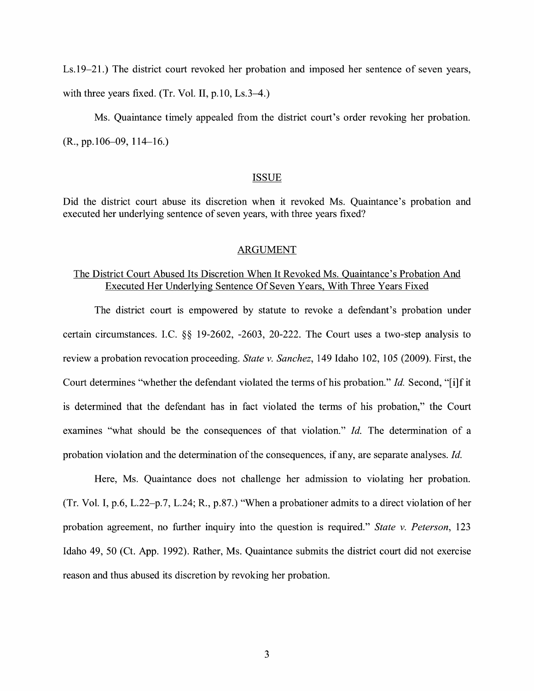Ls.19-21.) The district court revoked her probation and imposed her sentence of seven years, with three years fixed. (Tr. Vol. II,  $p.10$ , Ls.3-4.)

Ms. Quaintance timely appealed from the district court's order revoking her probation.  $(R., pp.106-09, 114-16.)$ 

#### ISSUE

Did the district court abuse its discretion when it revoked Ms. Quaintance's probation and executed her underlying sentence of seven years, with three years fixed?

#### ARGUMENT

### The District Court Abused Its Discretion When It Revoked Ms. Quaintance's Probation And Executed Her Underlying Sentence Of Seven Years, With Three Years Fixed

The district court is empowered by statute to revoke a defendant's probation under certain circumstances. I.C. §§ 19-2602, -2603, 20-222. The Court uses a two-step analysis to review a probation revocation proceeding. *State v. Sanchez,* 149 Idaho 102, 105 (2009). First, the Court determines "whether the defendant violated the terms of his probation." *Id.* Second, "[i]f it is determined that the defendant has in fact violated the terms of his probation," the Court examines "what should be the consequences of that violation." *Id.* The determination of a probation violation and the determination of the consequences, if any, are separate analyses. *Id.* 

Here, Ms. Quaintance does not challenge her admission to violating her probation. (Tr. Vol. I, p.6, L.22-p.7, L.24; R., p.87.) "When a probationer admits to a direct violation of her probation agreement, no further inquiry into the question is required." *State v. Peterson,* 123 Idaho 49, 50 (Ct. App. 1992). Rather, Ms. Quaintance submits the district court did not exercise reason and thus abused its discretion by revoking her probation.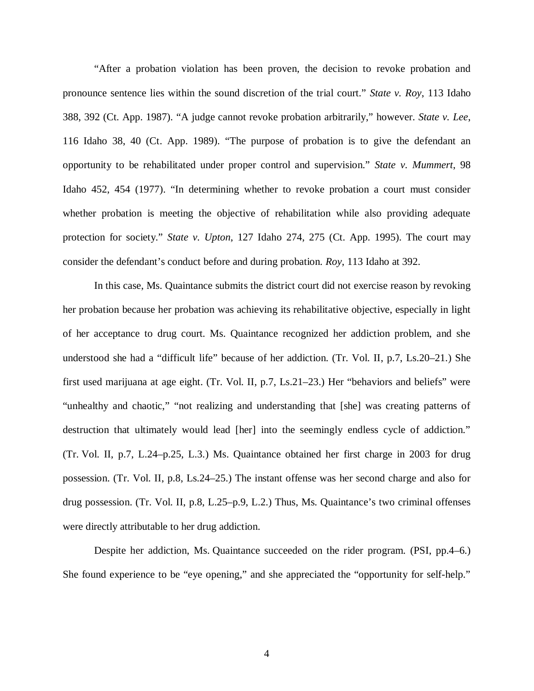"After a probation violation has been proven, the decision to revoke probation and pronounce sentence lies within the sound discretion of the trial court." *State v. Roy*, 113 Idaho 388, 392 (Ct. App. 1987). "A judge cannot revoke probation arbitrarily," however. *State v. Lee*, 116 Idaho 38, 40 (Ct. App. 1989). "The purpose of probation is to give the defendant an opportunity to be rehabilitated under proper control and supervision." *State v. Mummert*, 98 Idaho 452, 454 (1977). "In determining whether to revoke probation a court must consider whether probation is meeting the objective of rehabilitation while also providing adequate protection for society." *State v. Upton*, 127 Idaho 274, 275 (Ct. App. 1995). The court may consider the defendant's conduct before and during probation. *Roy*, 113 Idaho at 392.

In this case, Ms. Quaintance submits the district court did not exercise reason by revoking her probation because her probation was achieving its rehabilitative objective, especially in light of her acceptance to drug court. Ms. Quaintance recognized her addiction problem, and she understood she had a "difficult life" because of her addiction. (Tr. Vol. II, p.7, Ls.20–21.) She first used marijuana at age eight. (Tr. Vol. II, p.7, Ls.21–23.) Her "behaviors and beliefs" were "unhealthy and chaotic," "not realizing and understanding that [she] was creating patterns of destruction that ultimately would lead [her] into the seemingly endless cycle of addiction." (Tr. Vol. II, p.7, L.24–p.25, L.3.) Ms. Quaintance obtained her first charge in 2003 for drug possession. (Tr. Vol. II, p.8, Ls.24–25.) The instant offense was her second charge and also for drug possession. (Tr. Vol. II, p.8, L.25–p.9, L.2.) Thus, Ms. Quaintance's two criminal offenses were directly attributable to her drug addiction.

Despite her addiction, Ms. Quaintance succeeded on the rider program. (PSI, pp.4–6.) She found experience to be "eye opening," and she appreciated the "opportunity for self-help."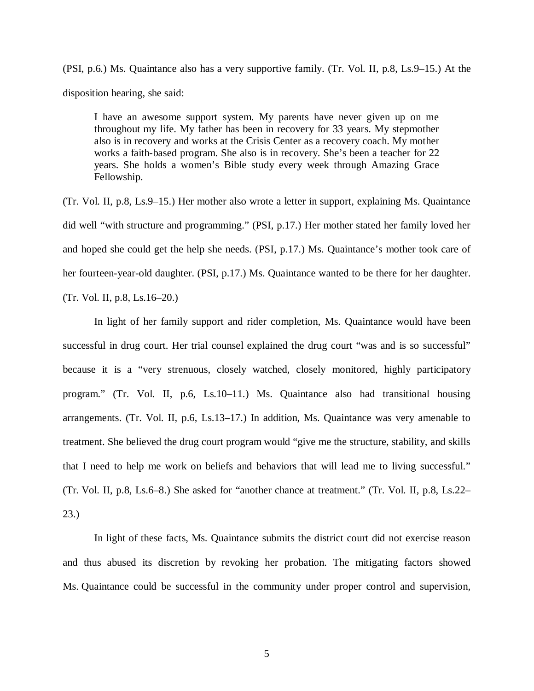(PSI, p.6.) Ms. Quaintance also has a very supportive family. (Tr. Vol. II, p.8, Ls.9–15.) At the disposition hearing, she said:

I have an awesome support system. My parents have never given up on me throughout my life. My father has been in recovery for 33 years. My stepmother also is in recovery and works at the Crisis Center as a recovery coach. My mother works a faith-based program. She also is in recovery. She's been a teacher for 22 years. She holds a women's Bible study every week through Amazing Grace Fellowship.

(Tr. Vol. II, p.8, Ls.9–15.) Her mother also wrote a letter in support, explaining Ms. Quaintance did well "with structure and programming." (PSI, p.17.) Her mother stated her family loved her and hoped she could get the help she needs. (PSI, p.17.) Ms. Quaintance's mother took care of her fourteen-year-old daughter. (PSI, p.17.) Ms. Quaintance wanted to be there for her daughter. (Tr. Vol. II, p.8, Ls.16–20.)

In light of her family support and rider completion, Ms. Quaintance would have been successful in drug court. Her trial counsel explained the drug court "was and is so successful" because it is a "very strenuous, closely watched, closely monitored, highly participatory program." (Tr. Vol. II, p.6, Ls.10–11.) Ms. Quaintance also had transitional housing arrangements. (Tr. Vol. II, p.6, Ls.13–17.) In addition, Ms. Quaintance was very amenable to treatment. She believed the drug court program would "give me the structure, stability, and skills that I need to help me work on beliefs and behaviors that will lead me to living successful." (Tr. Vol. II, p.8, Ls.6–8.) She asked for "another chance at treatment." (Tr. Vol. II, p.8, Ls.22– 23.)

In light of these facts, Ms. Quaintance submits the district court did not exercise reason and thus abused its discretion by revoking her probation. The mitigating factors showed Ms. Quaintance could be successful in the community under proper control and supervision,